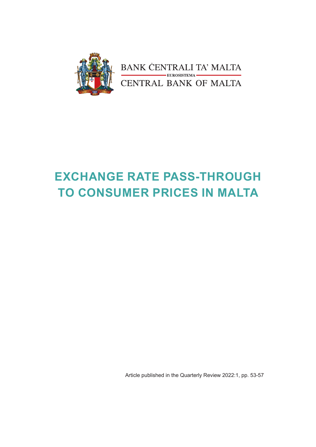

# **EXCHANGE RATE PASS-THROUGH TO CONSUMER PRICES IN MALTA**

Article published in the Quarterly Review 2022:1, pp. 53-57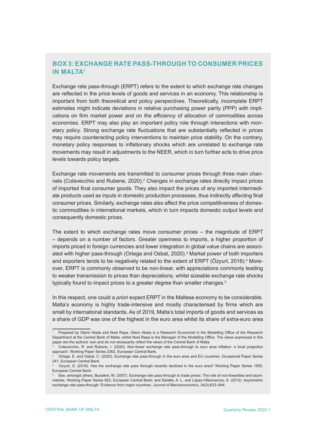## **BOX 3: EXCHANGE RATE PASS-THROUGH TO CONSUMER PRICES IN MALTA1**

Exchange rate pass-through (ERPT) refers to the extent to which exchange rate changes are reflected in the price levels of goods and services in an economy. This relationship is important from both theoretical and policy perspectives. Theoretically, incomplete ERPT estimates might indicate deviations in relative purchasing power parity (PPP) with implications on firm market power and on the efficiency of allocation of commodities across economies. ERPT may also play an important policy role through interactions with monetary policy. Strong exchange rate fluctuations that are substantially reflected in prices may require counteracting policy interventions to maintain price stability. On the contrary, monetary policy responses to inflationary shocks which are unrelated to exchange rate movements may result in adjustments to the NEER, which in turn further acts to drive price levels towards policy targets.

Exchange rate movements are transmitted to consumer prices through three main channels (Colavecchio and Rubene, 2020).<sup>2</sup> Changes in exchange rates directly impact prices of imported final consumer goods. They also impact the prices of any imported intermediate products used as inputs in domestic production processes, thus indirectly affecting final consumer prices. Similarly, exchange rates also affect the price competitiveness of domestic commodities in international markets, which in turn impacts domestic output levels and consequently domestic prices.

The extent to which exchange rates move consumer prices – the magnitude of ERPT – depends on a number of factors. Greater openness to imports, a higher proportion of imports priced in foreign currencies and lower integration in global value chains are associated with higher pass-through (Ortega and Osbat, 2020).<sup>3</sup> Market power of both importers and exporters tends to be negatively related to the extent of ERPT (Özyurt, 2016). $^4$  Moreover, ERPT is commonly observed to be non-linear, with appreciations commonly leading to weaker transmission to prices than depreciations, whilst sizeable exchange rate shocks typically found to impact prices to a greater degree than smaller changes.<sup>5</sup>

In this respect, one could a *priori* expect ERPT in the Maltese economy to be considerable. Malta's economy is highly trade-intensive and mostly characterised by firms which are small by international standards. As of 2019, Malta's total imports of goods and services as a share of GDP was one of the highest in the euro area whilst its share of extra-euro area

<sup>1</sup> Prepared by Glenn Abela and Noel Rapa. Glenn Abela is a Research Economist in the Modelling Office of the Research Department at the Central Bank of Malta, whilst Noel Rapa is the Manager of the Modelling Office. The views expressed in this paper are the authors' own and do not necessarily reflect the views of the Central Bank of Malta.

<sup>2</sup> Colavecchio, R. and Rubene, I. (2020). Non-linear exchange rate pass-through to euro area inflation: a local projection approach. Working Paper Series 2362, European Central Bank.

<sup>3</sup> Ortega, E. and Osbat, C. (2020). Exchange rate pass-through in the euro area and EU countries. Occasional Paper Series 241, European Central Bank.

<sup>4</sup> Ozyurt, S. (2016). Has the exchange rate pass through recently declined in the euro area? Working Paper Series 1955, European Central Bank.

<sup>5</sup> See, amongst others, Bussière, M. (2007). Exchange rate pass-through to trade prices: The role of non-linearities and asymmetries. Working Paper Series 822, European Central Bank; and Delatte, A. L. and López-Villavicencio, A. (2012). Asymmetric exchange rate pass-through: Evidence from major countries. *Journal of Macroeconomics*, 34(3):833–844.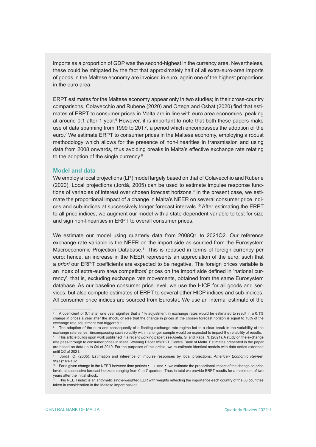imports as a proportion of GDP was the second-highest in the currency area. Nevertheless, these could be mitigated by the fact that approximately half of all extra-euro-area imports of goods in the Maltese economy are invoiced in euro, again one of the highest proportions in the euro area.

ERPT estimates for the Maltese economy appear only in two studies; in their cross-country comparisons, Colavecchio and Rubene (2020) and Ortega and Osbat (2020) find that estimates of ERPT to consumer prices in Malta are in line with euro area economies, peaking at around 0.1 after 1 year.<sup>6</sup> However, it is important to note that both these papers make use of data spanning from 1999 to 2017, a period which encompasses the adoption of the euro.7 We estimate ERPT to consumer prices in the Maltese economy, employing a robust methodology which allows for the presence of non-linearities in transmission and using data from 2008 onwards, thus avoiding breaks in Malta's effective exchange rate relating to the adoption of the single currency.<sup>8</sup>

### **Model and data**

We employ a local projections (LP) model largely based on that of Colavecchio and Rubene (2020). Local projections (Jordà, 2005) can be used to estimate impulse response functions of variables of interest over chosen forecast horizons.<sup>9</sup> In the present case, we estimate the proportional impact of a change in Malta's NEER on several consumer price indices and sub-indices at successively longer forecast intervals.10 After estimating the ERPT to all price indices, we augment our model with a state-dependent variable to test for size and sign non-linearities in ERPT to overall consumer prices.

We estimate our model using quarterly data from 2008Q1 to 2021Q2. Our reference exchange rate variable is the NEER on the import side as sourced from the Eurosystem Macroeconomic Projection Database.<sup>11</sup> This is rebased in terms of foreign currency per euro; hence, an increase in the NEER represents an appreciation of the euro, such that a *priori* our ERPT coefficients are expected to be negative. The foreign prices variable is an index of extra-euro area competitors' prices on the import side defined in 'national currency', that is, excluding exchange rate movements, obtained from the same Eurosystem database. As our baseline consumer price level, we use the HICP for all goods and services, but also compute estimates of ERPT to several other HICP indices and sub-indices. All consumer price indices are sourced from Eurostat. We use an internal estimate of the

 $^{\circ}$   $\,$  A coefficient of 0.1 after one year signifies that a 1% adjustment in exchange rates would be estimated to result in a 0.1% change in prices a year after the shock, or else that the change in prices at the chosen forecast horizon is equal to 10% of the exchange rate adjustment that triggered it.

<sup>7</sup> The adoption of the euro and consequently of a floating exchange rate regime led to a clear break in the variability of the exchange rate series. Encompassing such volatility within a longer sample would be expected to impact the reliability of results.

This article builds upon work published in a recent working paper; see Abela, G. and Rapa, N. (2021). A study on the exchange rate pass-through to consumer prices in Malta. Working Paper 05/2021, Central Bank of Malta. Estimates presented in the paper are based on data up to Q4 of 2019. For the purposes of this article, we re-estimate identical models with data series extended until Q2 of 2021.

<sup>9</sup> Jordà, Ó. (2005). Estimation and inference of impulse responses by local projections. *American Economic Review*, 95(1):161-182.

<sup>&</sup>lt;sup>10</sup> For a given change in the NEER between time periods  $t-1$  and  $t$ , we estimate the proportional impact of the change on price levels at successive forecast horizons ranging from 0 to 7 quarters. Thus in total we provide ERPT results for a maximum of two years after the initial shock.

 $1$  This NEER index is an arithmetic single-weighted EER with weights reflecting the importance each country of the 36 countries taken in consideration in the Maltese import basket.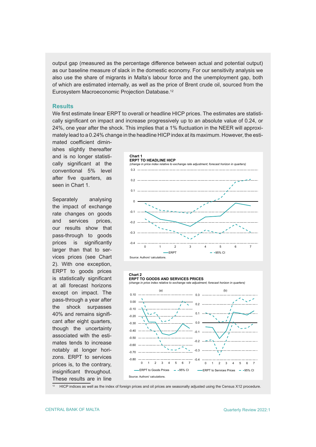output gap (measured as the percentage difference between actual and potential output) as our baseline measure of slack in the domestic economy. For our sensitivity analysis we also use the share of migrants in Malta's labour force and the unemployment gap, both of which are estimated internally, as well as the price of Brent crude oil, sourced from the Eurosystem Macroeconomic Projection Database.<sup>12</sup>

#### **Results**

We first estimate linear ERPT to overall or headline HICP prices. The estimates are statistically significant on impact and increase progressively up to an absolute value of 0.24, or 24%, one year after the shock. This implies that a 1% fluctuation in the NEER will approximately lead to a 0.24% change in the headline HICP index at its maximum. However, the esti-

mated coefficient diminishes slightly thereafter and is no longer statistically significant at the conventional 5% level after five quarters, as seen in Chart 1.

Separately analysing the impact of exchange rate changes on goods and services prices, our results show that pass-through to goods prices is significantly larger than that to services prices (see Chart 2). With one exception, ERPT to goods prices is statistically significant at all forecast horizons except on impact. The pass-through a year after the shock surpasses 40% and remains significant after eight quarters, though the uncertainty associated with the estimates tends to increase notably at longer horizons. ERPT to services prices is, to the contrary, insignificant throughout. These results are in line







Source: Authors' calculations.

<sup>12</sup> HICP indices as well as the index of foreign prices and oil prices are seasonally adjusted using the Census X12 procedure.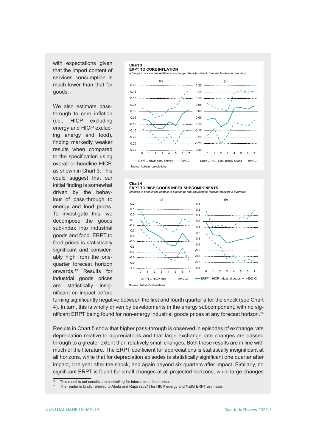with expectations given that the import content of services consumption is much lower than that for goods.

We also estimate passthrough to core inflation (i.e., HICP excluding energy and HICP excluding energy and food), finding markedly weaker results when compared to the specification using overall or headline HICP, as shown in Chart 3. This could suggest that our initial finding is somewhat driven by the behaviour of pass-through to energy and food prices. To investigate this, we decompose the goods sub-index into industrial goods and food. ERPT to food prices is statistically significant and considerably high from the onequarter forecast horizon onwards.13 Results for industrial goods prices are statistically insignificant on impact before







turning significantly negative between the first and fourth quarter after the shock (see Chart 4). In turn, this is wholly driven by developments in the energy subcomponent, with no significant ERPT being found for non-energy industrial goods prices at any forecast horizon.<sup>14</sup>

Results in Chart 5 show that higher pass-through is observed in episodes of exchange rate depreciation relative to appreciations and that large exchange rate changes are passed through to a greater extent than relatively small changes. Both these results are in line with much of the literature. The ERPT coefficient for appreciations is statistically insignificant at all horizons, while that for depreciation episodes is statistically significant one quarter after impact, one year after the shock, and again beyond six quarters after impact. Similarly, no significant ERPT is found for small changes at all projected horizons, while large changes

<sup>&</sup>lt;sup>13</sup> This result is not sensitive to controlling for international food prices.

The reader is kindly referred to Abela and Rapa (2021) for HICP energy and NEIG ERPT estimates.